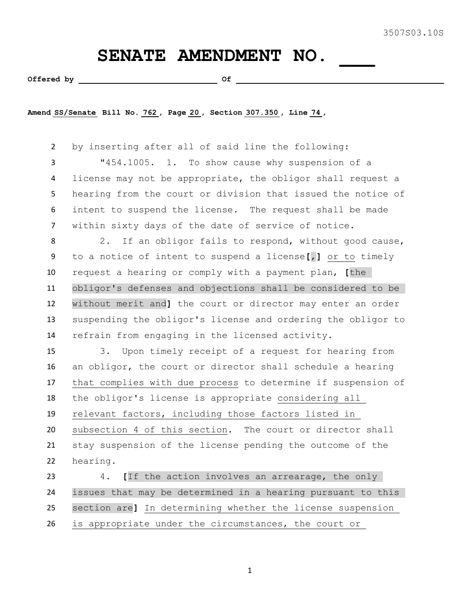## SENATE AMENDMENT NO.

Offered by  $\qquad \qquad$  Of  $\qquad \qquad$ 

**Amend SS/Senate Bill No. 762 , Page 20 , Section 307.350 , Line 74 ,** 

 by inserting after all of said line the following: "454.1005. 1. To show cause why suspension of a license may not be appropriate, the obligor shall request a hearing from the court or division that issued the notice of intent to suspend the license. The request shall be made within sixty days of the date of service of notice. 8 2. If an obligor fails to respond, without good cause, to a notice of intent to suspend a license**[**,**]** or to timely request a hearing or comply with a payment plan, **[**the obligor's defenses and objections shall be considered to be without merit and**]** the court or director may enter an order suspending the obligor's license and ordering the obligor to refrain from engaging in the licensed activity. 3. Upon timely receipt of a request for hearing from an obligor, the court or director shall schedule a hearing that complies with due process to determine if suspension of the obligor's license is appropriate considering all relevant factors, including those factors listed in subsection 4 of this section. The court or director shall stay suspension of the license pending the outcome of the hearing.

 4. **[**If the action involves an arrearage, the only issues that may be determined in a hearing pursuant to this section are**]** In determining whether the license suspension is appropriate under the circumstances, the court or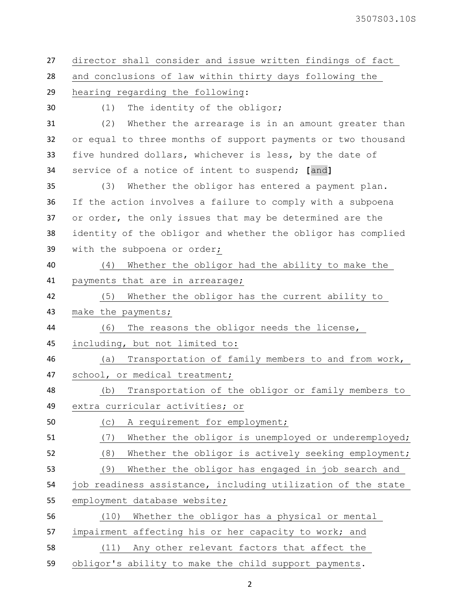| 27 | director shall consider and issue written findings of fact   |
|----|--------------------------------------------------------------|
| 28 | and conclusions of law within thirty days following the      |
| 29 | hearing regarding the following:                             |
| 30 | The identity of the obligor;<br>(1)                          |
| 31 | (2)<br>Whether the arrearage is in an amount greater than    |
| 32 | or equal to three months of support payments or two thousand |
| 33 | five hundred dollars, whichever is less, by the date of      |
| 34 | service of a notice of intent to suspend; [and]              |
| 35 | (3)<br>Whether the obligor has entered a payment plan.       |
| 36 | If the action involves a failure to comply with a subpoena   |
| 37 | or order, the only issues that may be determined are the     |
| 38 | identity of the obligor and whether the obligor has complied |
| 39 | with the subpoena or order;                                  |
| 40 | Whether the obligor had the ability to make the<br>(4)       |
| 41 | payments that are in arrearage;                              |
| 42 | (5)<br>Whether the obligor has the current ability to        |
| 43 | make the payments;                                           |
| 44 | The reasons the obligor needs the license,<br>(6)            |
| 45 | including, but not limited to:                               |
| 46 | Transportation of family members to and from work,<br>(a)    |
| 47 | school, or medical treatment;                                |
| 48 | Transportation of the obligor or family members to<br>(b)    |
| 49 | extra curricular activities; or                              |
| 50 | A requirement for employment;<br>(C)                         |
| 51 | Whether the obligor is unemployed or underemployed;<br>(7)   |
| 52 | (8)<br>Whether the obligor is actively seeking employment;   |
| 53 | (9)<br>Whether the obligor has engaged in job search and     |
| 54 | job readiness assistance, including utilization of the state |
| 55 | employment database website;                                 |
| 56 | Whether the obligor has a physical or mental<br>(10)         |
| 57 | impairment affecting his or her capacity to work; and        |
| 58 | Any other relevant factors that affect the<br>(11)           |
| 59 | obligor's ability to make the child support payments.        |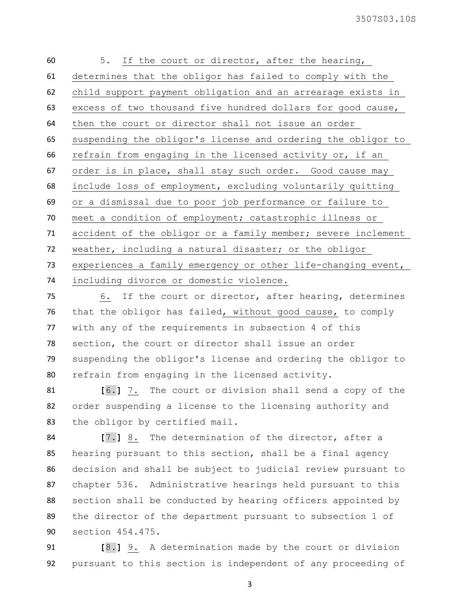| 60 | 5. If the court or director, after the hearing,              |
|----|--------------------------------------------------------------|
| 61 | determines that the obligor has failed to comply with the    |
| 62 | child support payment obligation and an arrearage exists in  |
| 63 | excess of two thousand five hundred dollars for good cause,  |
| 64 | then the court or director shall not issue an order          |
| 65 | suspending the obligor's license and ordering the obligor to |
| 66 | refrain from engaging in the licensed activity or, if an     |
| 67 | order is in place, shall stay such order. Good cause may     |
| 68 | include loss of employment, excluding voluntarily quitting   |
| 69 | or a dismissal due to poor job performance or failure to     |
| 70 | meet a condition of employment; catastrophic illness or      |
| 71 | accident of the obligor or a family member; severe inclement |
| 72 | weather, including a natural disaster; or the obligor        |
| 73 | experiences a family emergency or other life-changing event, |
| 74 | including divorce or domestic violence.                      |

 6. If the court or director, after hearing, determines that the obligor has failed, without good cause, to comply with any of the requirements in subsection 4 of this section, the court or director shall issue an order suspending the obligor's license and ordering the obligor to refrain from engaging in the licensed activity.

 **[**6.**]** 7. The court or division shall send a copy of the order suspending a license to the licensing authority and the obligor by certified mail.

 **[**7.**]** 8. The determination of the director, after a hearing pursuant to this section, shall be a final agency decision and shall be subject to judicial review pursuant to chapter 536. Administrative hearings held pursuant to this section shall be conducted by hearing officers appointed by the director of the department pursuant to subsection 1 of section 454.475.

 **[**8.**]** 9. A determination made by the court or division pursuant to this section is independent of any proceeding of